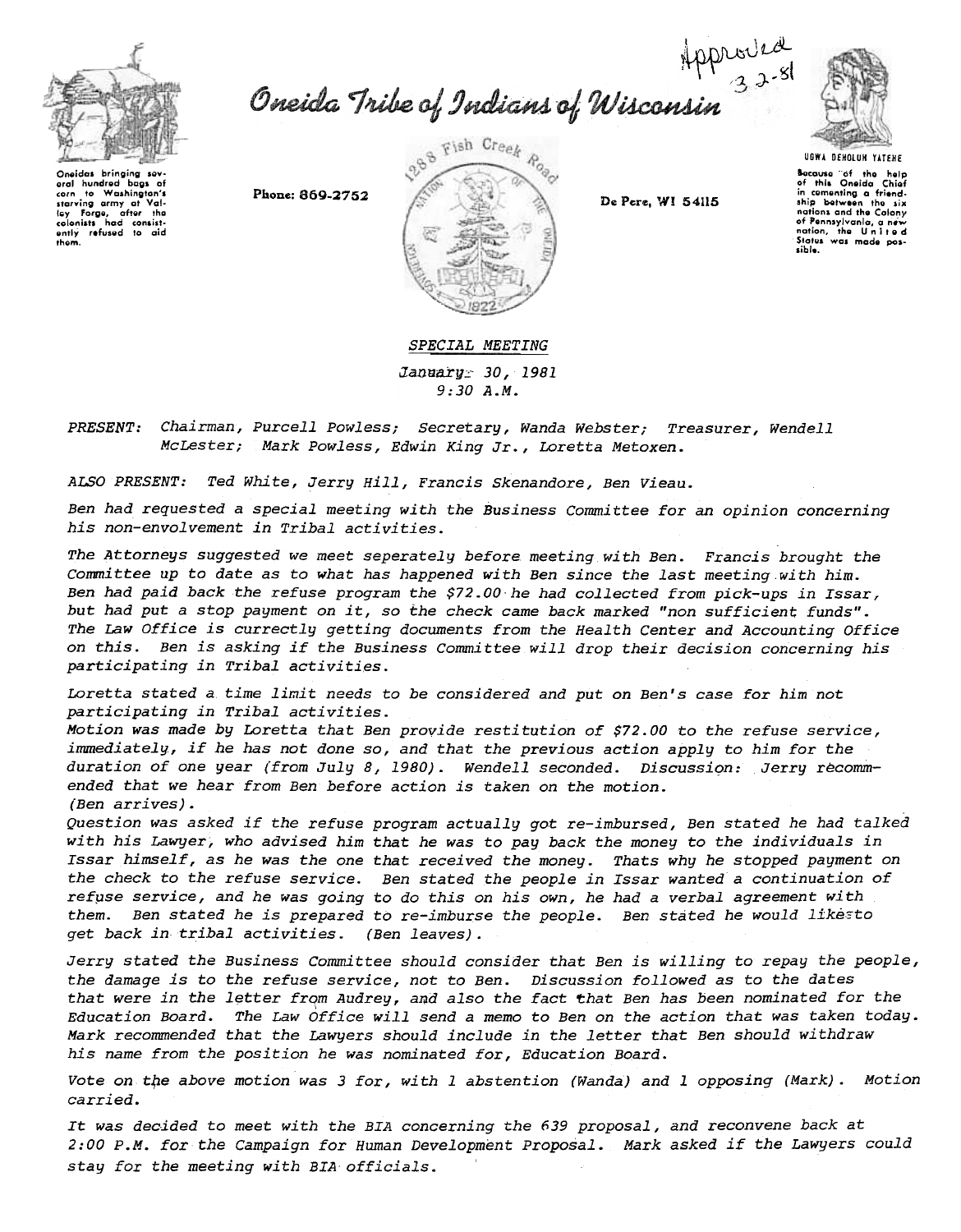

Oneida Tribe of Indians of Wisconsin<sup>323</sup>



Oneidas bringing sevaral hundred baos of eral nunerod bags or<br>corn fo Washington's<br>starving army at Val-<br>ley Forge, after the starving army at vail-<br>to-clonists had consist-<br>colonists had consist-<br>antly refused to aid<br>them.

Phone: 869-2752



De Pere, WI 54115

**UGWA DENOLUN YATENE Because** of the help<br>of this Oneida Chief in comenting a friend-<br>ship between the six nations and the Colony nations with the working<br>of Pennsylvania, a new<br>nation, the United<br>States was made pos-

## SPECIAL MEETING

*January 30, 1981*  $9:30A.M.$ 

Chairman, Purcell Powless; Secretary, Wanda Webster; Treasurer, Wendell *PRESENT:* McLester; Mark Powless, Edwin King Jr., Loretta Metoxen.

Ted White, Jerry Hill, Francis Skenandore, Ben Vieau. ALSO PRESENT:

Ben had requested a special meeting with the Business Committee for an opinion concerning his non-envolvement in Tribal activities.

The Attorneys suggested we meet seperately before meeting with Ben. Francis brought the Committee up to date as to what has happened with Ben since the last meeting with him. Ben had paid back the refuse program the \$72.00 he had collected from pick-ups in Issar, but had put a stop payment on it, so the check came back marked "non sufficient funds". The Law Office is currectly getting documents from the Health Center and Accounting Office on this. Ben is asking if the Business Committee will drop their decision concerning his participating in Tribal activities.

Loretta stated a time limit needs to be considered and put on Ben's case for him not participating in Tribal activities.

Motion was made by Loretta that Ben provide restitution of \$72.00 to the refuse service, immediately, if he has not done so, and that the previous action apply to him for the duration of one year (from July 8, 1980). Wendell seconded. Discussion: Jerry recommended that we hear from Ben before action is taken on the motion. (Ben arrives).

Question was asked if the refuse program actually got re-imbursed, Ben stated he had talked with his Lawyer, who advised him that he was to pay back the money to the individuals in Issar himself, as he was the one that received the money. Thats why he stopped payment on the check to the refuse service. Ben stated the people in Issar wanted a continuation of refuse service, and he was going to do this on his own, he had a verbal agreement with Ben stated he is prepared to re-imburse the people. Ben stated he would likesto them. get back in tribal activities. (Ben leaves).

Jerry stated the Business Committee should consider that Ben is willing to repay the people, the damage is to the refuse service, not to Ben. Discussion followed as to the dates that were in the letter from Audrey, and also the fact that Ben has been nominated for the Education Board. The Law Office will send a memo to Ben on the action that was taken today. Mark recommended that the Lawyers should include in the letter that Ben should withdraw his name from the position he was nominated for, Education Board.

Vote on the above motion was 3 for, with 1 abstention (Wanda) and 1 opposing (Mark). Motion carried.

It was decided to meet with the BIA concerning the 639 proposal, and reconvene back at 2:00 P.M. for the Campaign for Human Development Proposal. Mark asked if the Lawyers could stay for the meeting with BIA officials.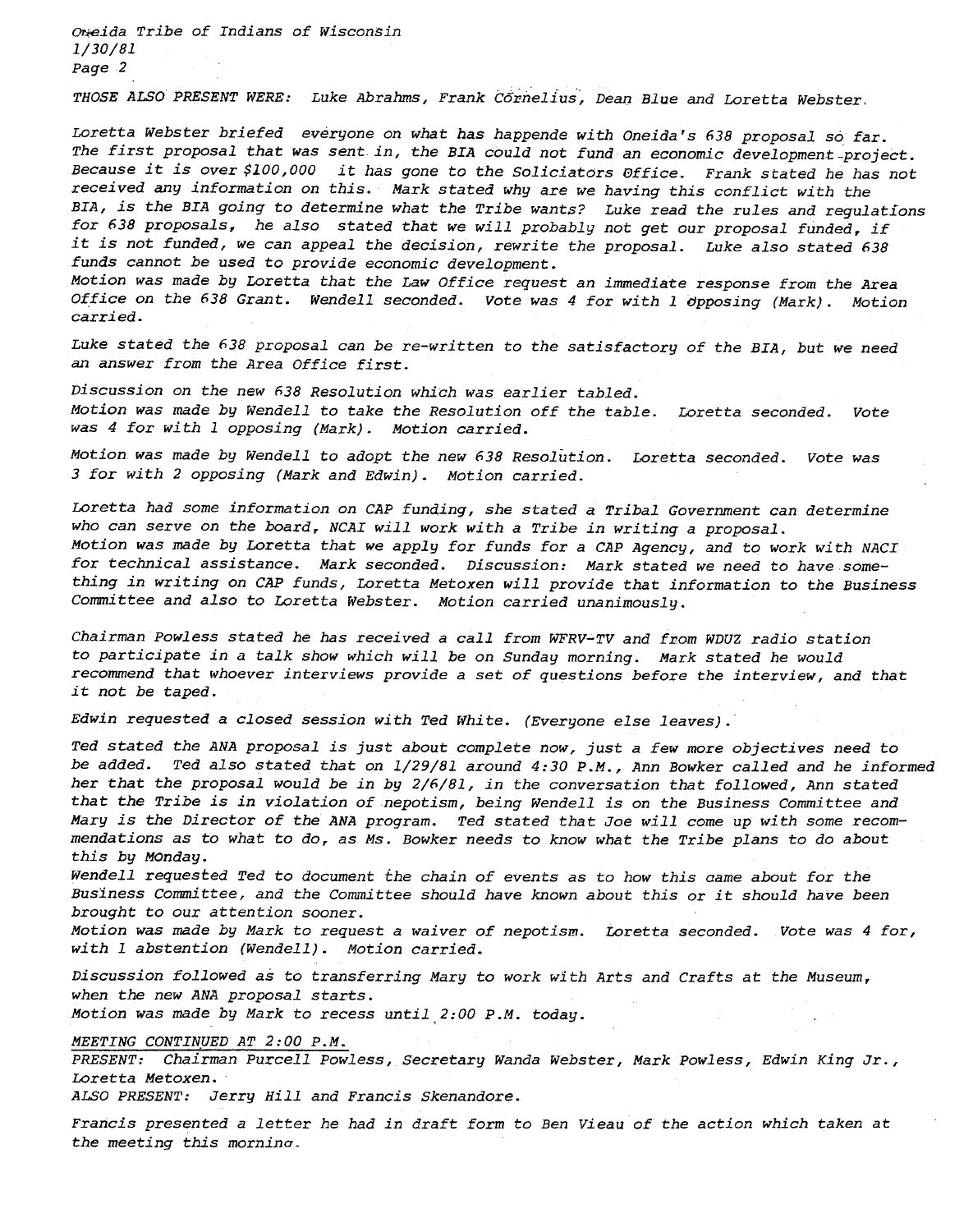Oreida Tribe of Indians of Wisconsin 1/30/81 Page 2

THOSE ALSO PRESENT WERE: Luke Abrahms, Frank Cornelius, Dean Blue and Loretta Webste

Loretta webster briefed everyone on what has happende with Oneida's 638 proposal so far. The first proposal that was sent in, the BIA could not fund an economic development-project. Because it is over \$100,000 it has gone to the Soliciators effice. Frank stated he has not received any information on this. Mark stated why are we having this conflict with the BIA, is the BIA going to determine what the Tribe wants? Luke read the rules and regulations for 638 proposals, he also stated that we will probably not get our proposal funded, if it is not funded, we can appeal the decision, rewrite the proposal. Luke also stated 638 funds cannot be used to provide economic development.

Motion was made by Loretta that the Law Office request an immediate response from the Area Office on the 638 Grant. Wendell seconded. Vote was 4 for with 1 opposing (Mark). Motion carried.

Luke stated the 638 proposal can be re-written to the satisfactory of the BIA, but we need an answer from the Area Office first.

Discussion on the new 638 Resolution which was earlier tabled. Motion was made by Wendell to take the Resolution off the table. Loretta seconded. Vote was 4 for with 1 opposing (Mark). Motion carried.

Motion was made by Wendell to adopt the new (,38 Resolution. Loretta seconded. Vote was 3 for with 2 opposing (Mark and Edwin). Motion carried.

Loretta had some information on CAP funding, she stated a Tribal Government can determine who can serve on the board, NCAI will work with a Tribe in writing a proposal. Motion was made by Loretta that we apply for funds for a CAP Agency, and to work with NACI for technical assistance. Mark seconded. Discussion: Mark stated we need to have something in writing on CAP funds, Loretta Metoxen will provide that information to the Business Committee and also to Loretta Webster. Motion carried unanimously.

Chairman Powless stated he has received a call from WFRV-TV and from WDUZ radio station to participate in a talk show which will be on Sunday morning. Mark stated he would recommend that whoever interviews provide a set of questions before the interview, and that it not be taped.

Edwin requested a closed session with Ted White. (Everyone else leaves).

Ted stated the ANA proposal is just about complete now, just a few more objectives need to be added. Ted also stated that on 1/29/81 around 4:30 P.M., Ann Bowker called and he informed her that the proposal would be in by 2/6/81, in the conversation that followed, Ann stated that the Tribe is in violation of nepotism, being Wendell is on the Business Committee and Mary is the Director of the ANA program. Ted stated that Joe will come up with some recommendations as to what to do, as Ms. Bowker needs to know what the Tribe plans to do about this by MOnday.

Wendell requested Ted to document the chain of events as to how this came about for the Business Committee, and the Committee should have known about this or it should have been brought to our attention sooner.

Motion was made by Mark to request a waiver of nepotism. Loretta seconded. Vote was 4 for, with 1 abstention (Wendell). Motion carried.

Discussion followed as to transferring Mary to work with Arts and Crafts at the Museum, when the new ANA proposal starts.

Motion was made by Mark to recess until 2:00 P.M. today.

MEETING CONTINUED AT 2:00 P.M.

PRESENT: Chairman Purcell Powless, Secretary Wanda Webster, Mark Powless, Edwin King Jr., Loretta Metoxen.

ALSO PRESENT: Jerry Hill and Francis Skenandore.

Francis presented a letter he had in draft form to Ben Vieau of the action which taken at the meeting this morninq.